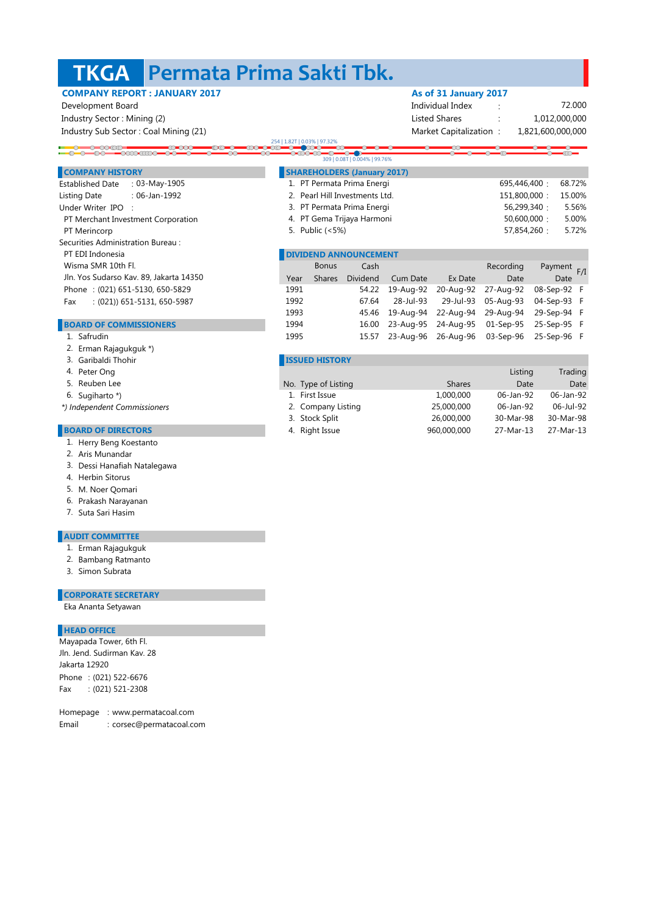#### **Permata Prima Sakti Tbk. TKGA**

 $\overline{\text{OO}}$ 

## **COMPANY REPORT : JANUARY 2017 As of 31 January 2017**

Development Board individual Index : Note that the Unit of the Individual Index individual Index in the Individual Index individual Index in the Individual Index individual Index in the Individual Index in the Individual I Industry Sector : Mining (2) listed Shares : Listed Shares : Listed Shares : Listed Shares : Listed Shares : Listed Shares : Listed Shares : Listed Shares : Listed Shares : Listed Shares : Listed Shares : Listed Shares : L

Industry Sub Sector : Coal Mining (21) Market Capitalization : Market Capitalization :

 $0 - 0 - 0 = 0.00$ 

### 1,821,600,000,000 1,012,000,000

72.000

# 254 | 1.82T | 0.03% | 97.32%<br>COO COO COO COO COO

|                                             | 309   0.08T   0.004%   99.76%                 |              |           |                |  |
|---------------------------------------------|-----------------------------------------------|--------------|-----------|----------------|--|
| <b>COMPANY HISTORY</b>                      | <b>SHAREHOLDERS (January 2017)</b>            |              |           |                |  |
| : $03$ -May-1905<br><b>Established Date</b> | 1. PT Permata Prima Energi                    | 695,446,400: | 68.72%    |                |  |
| : 06-Jan-1992<br>Listing Date               | 2. Pearl Hill Investments Ltd.                | 151,800,000: | 15.00%    |                |  |
| Under Writer IPO :                          | 3. PT Permata Prima Energi<br>56,299,340 :    |              |           |                |  |
| PT Merchant Investment Corporation          | 4. PT Gema Trijaya Harmoni                    | 50,600,000:  | 5.00%     |                |  |
| PT Merincorp                                | 5. Public (<5%)                               | 57,854,260 : | 5.72%     |                |  |
| Securities Administration Bureau:           |                                               |              |           |                |  |
| PT EDI Indonesia                            | <b>DIVIDEND ANNOUNCEMENT</b>                  |              |           |                |  |
| Wisma SMR 10th Fl.                          | <b>Bonus</b><br>Cash                          |              | Recording | Payment<br>F/I |  |
| Jln. Yos Sudarso Kav. 89, Jakarta 14350     | Dividend<br>Year<br>Cum Date<br><b>Shares</b> | Ex Date      | Date      | Date           |  |

### Phone : (021) 651-5130, 650-5829

Fax : (021)) 651-5131, 650-5987

#### **BOARD OF COMMISSIONERS**

- 1. Safrudin
- 2. Erman Rajagukguk \*)
- 3. Garibaldi Thohir
- 4. Peter Ong
- 5.
- 6. Sugiharto \*)
- *\*) Independent Commissioners*

#### **BOARD OF DIRECTORS**

- 1. Herry Beng Koestanto
- 2. Aris Munandar
- 3. Dessi Hanafiah Natalegawa
- 4. Herbin Sitorus
- 5. M. Noer Qomari
- 6. Prakash Narayanan
- 7. Suta Sari Hasim

#### **AUDIT COMMITTEE**

- 1. Erman Rajagukguk
- 2. Bambang Ratmanto
- Simon Subrata 3.

## **CORPORATE SECRETARY**

Eka Ananta Setyawan

#### **HEAD OFFICE**

Phone : (021) 522-6676 Fax : (021) 521-2308 Mayapada Tower, 6th Fl. Jln. Jend. Sudirman Kav. 28 Jakarta 12920

Homepage : www.permatacoal.com Email : corsec@permatacoal.com

|      |               | <b>DIVIDEND ANNOUNCEMENT</b> |           |                     |                     |             |  |
|------|---------------|------------------------------|-----------|---------------------|---------------------|-------------|--|
|      | <b>Bonus</b>  | Cash                         |           |                     | Recording           | Payment F/I |  |
| Year | <b>Shares</b> | Dividend                     | Cum Date  | Ex Date             | Date                | Date        |  |
| 1991 |               | 54.22                        | 19-Aug-92 | 20-Aug-92           | 27-Aug-92           | 08-Sep-92 F |  |
| 1992 |               | 67.64                        | 28-Jul-93 | 29-Jul-93           | 05-Aug-93           | 04-Sep-93 F |  |
| 1993 |               | 45.46                        | 19-Aug-94 | 22-Aug-94           | 29-Aug-94           | 29-Sep-94 F |  |
| 1994 |               | 16.00                        | 23-Aug-95 |                     | 24-Aug-95 01-Sep-95 | 25-Sep-95 F |  |
| 1995 |               | 15.57                        |           | 23-Aug-96 26-Aug-96 | 03-Sep-96           | 25-Sep-96 F |  |
|      |               |                              |           |                     |                     |             |  |

#### **ISSUED HISTORY**

| Peter Ong               |                     |               | Listing   | Trading   |
|-------------------------|---------------------|---------------|-----------|-----------|
| Reuben Lee              | No. Type of Listing | <b>Shares</b> | Date      | Date      |
| Sugiharto *)            | 1. First Issue      | 1,000,000     | 06-Jan-92 | 06-Jan-92 |
| dependent Commissioners | 2. Company Listing  | 25,000,000    | 06-Jan-92 | 06-Jul-92 |
|                         | 3. Stock Split      | 26,000,000    | 30-Mar-98 | 30-Mar-98 |
| <b>ARD OF DIRECTORS</b> | 4. Right Issue      | 960,000,000   | 27-Mar-13 | 27-Mar-13 |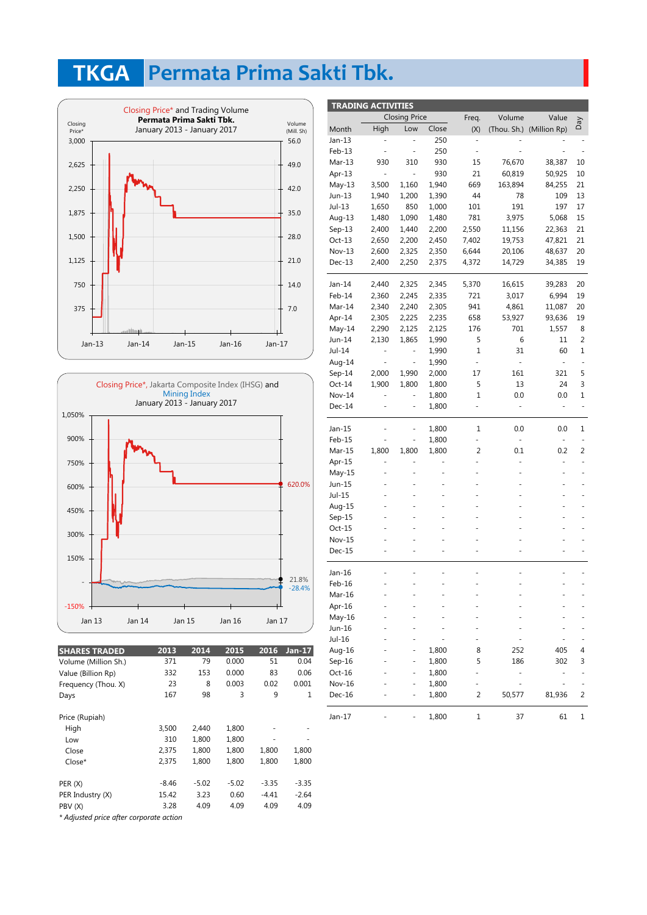# **Permata Prima Sakti Tbk. TKGA**





| <b>SHARES TRADED</b> | 2013    | 2014    | 2015    | 2016    | $Jan-17$ |
|----------------------|---------|---------|---------|---------|----------|
| Volume (Million Sh.) | 371     | 79      | 0.000   | 51      | 0.04     |
| Value (Billion Rp)   | 332     | 153     | 0.000   | 83      | 0.06     |
| Frequency (Thou. X)  | 23      | 8       | 0.003   | 0.02    | 0.001    |
| Days                 | 167     | 98      | 3       | 9       | 1        |
| Price (Rupiah)       |         |         |         |         |          |
| High                 | 3,500   | 2.440   | 1,800   |         |          |
| Low                  | 310     | 1,800   | 1,800   |         |          |
| Close                | 2,375   | 1.800   | 1,800   | 1,800   | 1,800    |
| Close*               | 2,375   | 1,800   | 1,800   | 1,800   | 1,800    |
| PER(X)               | $-8.46$ | $-5.02$ | $-5.02$ | $-3.35$ | $-3.35$  |
| PER Industry (X)     | 15.42   | 3.23    | 0.60    | -4.41   | $-2.64$  |
| PBV (X)              | 3.28    | 4.09    | 4.09    | 4.09    | 4.09     |
|                      |         |         |         |         |          |

*\* Adjusted price after corporate action*

| <b>TRADING ACTIVITIES</b> |                              |                              |       |                |               |                          |              |
|---------------------------|------------------------------|------------------------------|-------|----------------|---------------|--------------------------|--------------|
|                           |                              | <b>Closing Price</b>         |       | Freq.          | Volume        | Value                    |              |
| Month                     | High                         | Low                          | Close | (X)            |               | (Thou. Sh.) (Million Rp) | Day          |
| Jan-13                    |                              |                              | 250   |                |               |                          |              |
| Feb-13                    |                              | $\blacksquare$               | 250   | $\frac{1}{2}$  |               |                          |              |
| $Mar-13$                  | 930                          | 310                          | 930   | 15             | 76,670        | 38,387                   | 10           |
| Apr-13                    | $\qquad \qquad \blacksquare$ | $\blacksquare$               | 930   | 21             | 60,819        | 50,925                   | 10           |
| $May-13$                  | 3,500                        | 1,160                        | 1,940 | 669            | 163,894       | 84,255                   | 21           |
| Jun-13                    | 1,940                        | 1,200                        | 1,390 | 44             | 78            | 109                      | 13           |
| Jul-13                    | 1,650                        | 850                          | 1,000 | 101            | 191           | 197                      | 17           |
| Aug-13                    | 1,480                        | 1,090                        | 1,480 | 781            | 3,975         | 5,068                    | 15           |
| $Sep-13$                  | 2,400                        | 1,440                        | 2,200 | 2,550          | 11,156        | 22,363                   | 21           |
| $Oct-13$                  | 2,650                        | 2,200                        | 2,450 | 7,402          | 19,753        | 47,821                   | 21           |
| Nov-13                    | 2,600                        | 2,325                        | 2,350 | 6,644          | 20,106        | 48,637                   | 20           |
| Dec-13                    | 2,400                        | 2,250                        | 2,375 | 4,372          | 14,729        | 34,385                   | 19           |
|                           |                              |                              |       |                |               |                          |              |
| Jan-14                    | 2,440                        | 2,325                        | 2,345 | 5,370          | 16,615        | 39,283                   | 20           |
| Feb-14                    | 2,360                        | 2,245                        | 2,335 | 721            | 3,017         | 6,994                    | 19           |
| Mar-14                    | 2,340                        | 2,240                        | 2,305 | 941            | 4,861         | 11,087                   | 20           |
| Apr-14                    | 2,305                        | 2,225                        | 2,235 | 658            | 53,927        | 93,636                   | 19           |
| $May-14$                  | 2,290                        | 2,125                        | 2,125 | 176            | 701           | 1,557                    | 8            |
| Jun-14                    | 2,130                        | 1,865                        | 1,990 | 5              | 6             | 11                       | 2            |
| Jul-14                    | -                            | $\frac{1}{2}$                | 1,990 | 1              | 31            | 60                       | $\mathbf{1}$ |
| Aug-14                    | $\overline{\phantom{0}}$     | $\overline{\phantom{a}}$     | 1,990 | ÷,             | ÷,            | ÷,                       |              |
| $Sep-14$                  | 2,000                        | 1,990                        | 2,000 | 17             | 161           | 321                      | 5            |
| Oct-14                    | 1,900                        | 1,800                        | 1,800 | 5              | 13            | 24                       | 3            |
| Nov-14                    |                              |                              | 1,800 | 1              | 0.0           | 0.0                      | 1            |
| $Dec-14$                  | $\overline{\phantom{0}}$     | $\blacksquare$               | 1,800 | ÷,             | $\frac{1}{2}$ | $\blacksquare$           | ÷,           |
|                           |                              |                              |       |                |               |                          |              |
| Jan-15                    | -                            | $\qquad \qquad \blacksquare$ | 1,800 | 1              | 0.0           | 0.0                      | 1            |
| Feb-15                    |                              | ÷,                           | 1,800 | ÷,             | ÷.            | ÷,                       |              |
| Mar-15                    | 1,800                        | 1,800                        | 1,800 | $\overline{2}$ | 0.1           | 0.2                      | 2            |
| Apr-15                    | -                            | -                            |       | -              |               |                          |              |
| May-15                    | ÷,                           |                              |       |                |               |                          |              |
| Jun-15                    | ÷,                           | ÷,                           |       |                |               |                          |              |
| Jul-15                    |                              |                              |       |                |               |                          |              |
| Aug-15                    |                              |                              |       |                |               |                          |              |
| $Sep-15$                  |                              |                              |       |                |               |                          |              |
| Oct-15                    |                              |                              |       |                |               |                          |              |
| Nov-15                    |                              |                              |       |                |               |                          |              |
| $Dec-15$                  |                              | L,                           |       |                |               |                          |              |
|                           |                              |                              |       |                |               |                          |              |
| Jan-16                    |                              |                              |       |                |               |                          |              |
| Feb-16                    |                              |                              |       |                |               |                          |              |
| Mar-16                    |                              |                              |       |                |               |                          |              |
| Apr-16                    |                              |                              |       |                |               |                          |              |
| May-16                    |                              |                              |       |                |               |                          |              |
| Jun-16                    |                              |                              |       |                |               |                          |              |
| $Jul-16$                  |                              |                              |       |                |               |                          |              |
| Aug-16                    |                              |                              | 1,800 | 8              | 252           | 405                      | 4            |
| $Sep-16$                  |                              | ÷                            | 1,800 | 5              | 186           | 302                      | 3            |
| Oct-16                    |                              | ٠                            | 1,800 | ÷              |               | -                        |              |
| Nov-16                    |                              |                              | 1,800 | -              |               |                          |              |
| Dec-16                    |                              |                              | 1,800 | 2              | 50,577        | 81,936                   | 2            |
| Jan-17                    |                              |                              | 1,800 | 1              | 37            | 61                       | 1            |